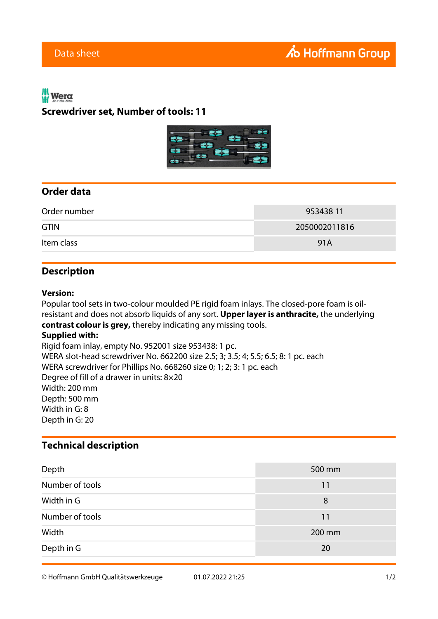# Wera **Screwdriver set, Number of tools: 11**



## **Order data**

| Order number | 953438 11     |
|--------------|---------------|
| <b>GTIN</b>  | 2050002011816 |
| Item class   | 91A           |

### **Description**

#### **Version:**

Popular tool sets in two-colour moulded PE rigid foam inlays. The closed-pore foam is oilresistant and does not absorb liquids of any sort. **Upper layer is anthracite,** the underlying **contrast colour is grey,** thereby indicating any missing tools. **Supplied with:** Rigid foam inlay, empty No. 952001 size 953438: 1 pc. WERA slot-head screwdriver No. 662200 size 2.5; 3; 3.5; 4; 5.5; 6.5; 8: 1 pc. each WERA screwdriver for Phillips No. 668260 size 0; 1; 2; 3: 1 pc. each Degree of fill of a drawer in units: 8×20 Width: 200 mm Depth: 500 mm Width in G: 8 Depth in G: 20

### **Technical description**

| Depth           | 500 mm |
|-----------------|--------|
| Number of tools | 11     |
| Width in G      | 8      |
| Number of tools | 11     |
| Width           | 200 mm |
| Depth in G      | 20     |

© Hoffmann GmbH Qualitätswerkzeuge 01.07.2022 21:25 1/2